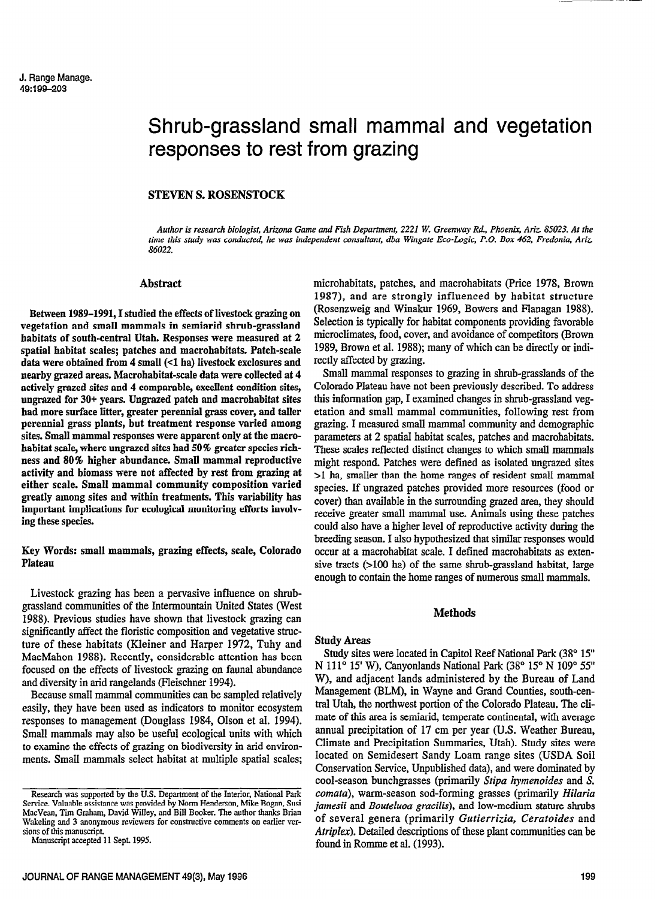# Shrub-grassland small mammal and vegetation responses to rest from grazing

# STEVEN S. ROSENSTOCK

Author is research biologist, Arizona Game and Fish Department, 2221 W. Greenway Rd., Phoenix, Ariz. 85023. At the time this study was conducted, he was independent consultant, dba Wingate Eco-Logic, P.O. Box 462, Fredonia, Ariz. 86022.

#### Abstract

 $B(t) = 1988.19815 t^{33}$  studied the effects of livestock grazing on  $t$  $\mu$  and  $\mu$  and  $\mu$  small mathematic shrub-grassland shrub-grassland shrub-grassland shrub-grassland shrub-grassland shrub-grassland shrub-grassland shrub-grassland shrub-grassland shrub-grassland shrub-grassland shrub vegetation and small mammals in semiarid shrub-grassland habitats of south-central Utah. Responses were measured at 2 spatial habitat scales; patches and macrohabitats. Patch-scale data were obtained from 4 small  $($ 1 ha) livestock exclosures and nearby grazed areas. Macrohabitat-scale data were collected at 4 actively grazed sites and 4 comparable, excellent condition sites. ungrazed for 30+ years. Ungrazed patch and macrohabitat sites had more surface litter, greater perennial grass cover, and taller perennial grass plants, but treatment response varied among sites. Small mammal responses were apparent only at the macrohabitat scale, where ungrazed sites had 50% greater species richness and 80% higher abundance. Small mammal reproductive activity and biomass were not affected by rest from grazing at either scale. Small mammal community composition varied greatly among sites and within treatments. This variability has important implications for ecological monitoring efforts involving these species.

Key Words: small mammals, grazing effects, scale, Colorado Plateau

Livestock grazing has been a pervasive influence on shrubgrassland communities of the Intermountain United States (West 1988). Previous studies have shown that livestock grazing can significantly affect the floristic composition and vegetative structure of these habitats (Kleiner and Harper 1972, Tuhy and MacMahon 1988). Recently, considerable attention has been focused on the effects of livestock grazing on faunal abundance and diversity in arid rangelands (Fleischner 1994).

Because small mammal communities can be sampled relatively easily, they have been used as indicators to monitor ecosystem responses to management (Douglass 1984, Olson et al. 1994). Small mammals may also be useful ecological units with which to examine the effects of grazing on biodiversity in arid environments. Small mammals select habitat at multiple spatial scales; microhabitats, patches, and macrohabitats (Price 1978, Brown 1987), and are strongly influenced by habitat structure (Rosenzweig and Winakur 1969, Bowers and Flanagan 1988). Selection is typically for habitat components providing favorable meter is typically for habitat components providing favorable 1989, Brown et al. 1988); many of which can be directly or indi-1989, Brown et al. 1988); many of which can be directly or indi-<br>rectly affected by grazing. Small mammal responses to grazing in shrub-grasslands of the

Colorado Plateau have not been previously described. To address the previously described. To a determined the contract of the contract of the contract of the contract of the contract of the contract of the contract of the Colorado Plateau have not been previously described. To address this information gap. I examined changes in shrub-grassland yegetation and small mammal communities, following rest from grazing. I measured small mammal community and demographic parameters at 2 spatial habitat scales, patches and macrohabitats. These scales reflected distinct changes to which small mammals might respond. Patches were defined as isolated ungrazed sites >1 ha, smaller than the home ranges of resident small mammal species. If ungrazed patches provided more resources (food or cover) than available in the surrounding grazed area, they should receive greater small mammal use. Animals using these patches could also have a higher level of reproductive activity during the breeding season. I also hypothesized that similar responses would occur at a macrohabitat scale. I defined macrohabitats as extensive tracts (>100 ha) of the same shrub-grassland habitat, large enough to contain the home ranges of numerous small mammals.

#### **Methods**

#### Study Areas

Study sites were located in Capitol Reef National Park (38° 15" N 111° 15' W). Canvonlands National Park  $(38° 15° N 109° 55"$ W), and adjacent lands administered by the Bureau of Land Management (BLM), in Wayne and Grand Counties, south-central Utah, the northwest portion of the Colorado Plateau. The climate of this area is semiarid, temperate continental, with average annual precipitation of 17 cm per year (U.S. Weather Bureau, Climate and Precipitation Summaries, Utah). Study sites were located on Semidesert Sandy Loam range sites (USDA Soil Conservation Service, Unpublished data), and were dominated by cool-season bunchgrasses (primarily Stipa hymenoides and S. comata), warm-season sod-forming grasses (primarily Hilaria jamesii and Bouteluoa gracilis), and low-medium stature shrubs of several genera (primarily Gutierrizia, Ceratoides and Atriplex). Detailed descriptions of these plant communities can be found in Romme et al. (1993).

Service. Valuable assistance was provided by Norm Henderson, Mike Bogan, Susi kesearen was supported by the O.S. Department of the interior, National Part Service. Valuable assistance was provided by Norm Henderson, Mike Bogan, Susi MacVean, Tim Graham, David Willey, and Bill Booker. The author thanks Brian Wakeling and 3 anonymous reviewers for constructive comments on earlier versions of this manuscript.

Manuscript accepted 11 Sept. 1995.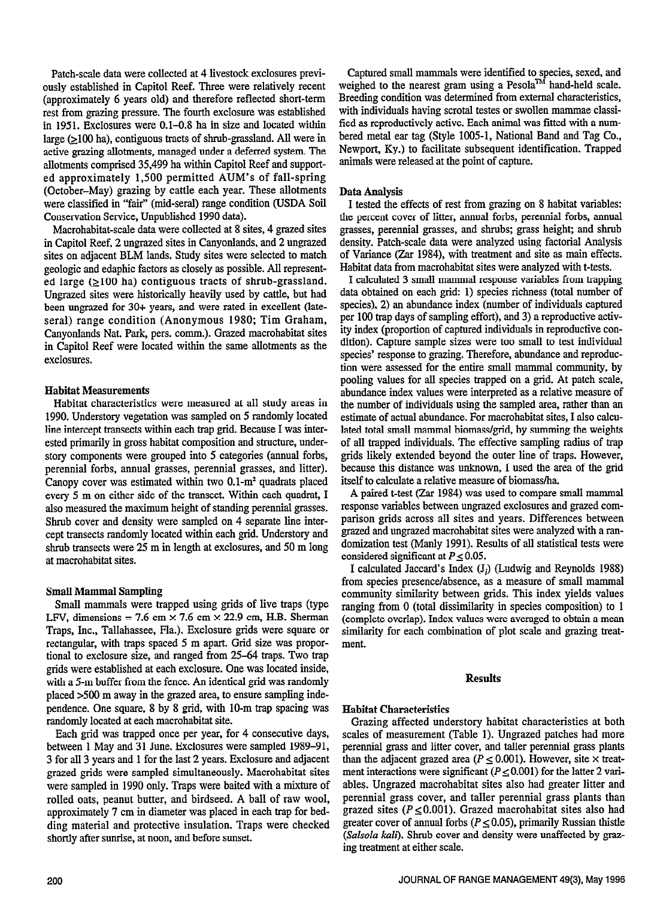Patch-scale data were collected at 4 livestock exclosures previously established in Capitol Reef. Three were relatively recent (approximately 6 years old) and therefore reflected short-term rest from grazing pressure. The fourth exclosure was established in 1951. Exclosures were 0.1-0.8 ha in size and located within large (2100 ha), contiguous tracts of shrub-grassland. All were in active grazing allotments, managed under a deferred system. The allotments comprised 35,499 ha within Capitol Reef and supported approximately 1,500 permitted AUM's of fall-spring (October-May) grazing by cattle each year. These allotments were classified in "fair" (mid-seral) range condition (USDA Soil Conservation Service, Unpublished 1990 data).

Macrohabitat-scale data were collected at 8 sites, 4 grazed sites in Capitol Reef, 2 ungrazcd sites in Canyonlands, and 2 ungrazed sites on adjacent BLM lands. Study sites were selected to match geologic and edaphic factors as closely as possible. All represented large  $(2100 \text{ ha})$  contiguous tracts of shrub-grassland. Ungrazed sites were historically heavily used by cattle, but had been ungrazed for 30+ years, and were rated in excellent (lateseral) range condition (Anonymous 1980; Tim Graham, Canyonlands Nat. Park, pers. comm.). Grazed macrohabitat sites in Capitol Reef were located within the same allotments as the  $\sum_{i=1}^{n}$ 

# Habitat Measurements

abitat intasurements<br>... 1990. Habitation was sampled on 5 randomly and 5 randomly all the same sampled on 5 random sampled on 5 random 1990. Understory vegetation was sampled on 5 randomly located line intercept transects within each trap grid. Because I was interested primarily in gross habitat composition and structure, understory components were grouped into 5 categories (annual forbs, perennial forbs, annual grasses, perennial grasses, and litter). Canopy cover was estimated within two  $0.1-m^2$  quadrats placed every 5 m on either side of the transect. Within each quadrat, I also measured the maximum height of standing perennial grasses. Shrub cover and density were sampled on 4 separate line intercept transects randomly located within each grid. Understory and shrub transects were 25 m in length at exclosures, and 50 m long at macrohabitat sites.

#### Small Mammal Sampling

Small mammals were trapped using grids of live traps (type) LFV, dimensions = 7.6 cm  $\times$  7.6 cm  $\times$  22.9 cm, H.B. Sherman Traps, Inc., Tallahassee, Fla.). Exclosure grids were square or rectangular, with traps spaced 5 m apart. Grid size was proportional to exclosure size, and ranged from 25-64 traps. Two trap grids were established at each exclosure. One was located inside, with a 5-m buffer from the fence. An identical grid was randomly placed  $>500$  m away in the grazed area, to ensure sampling independence. One square, 8 by 8 grid, with 10-m trap spacing was randomly located at each macrohabitat site.

Each grid was trapped once per year, for 4 consecutive days, between 1 May and 31 June. Exclosures were sampled 1989–91, 3 for all 3 years and 1 for the last 2 years. Exclosure and adjacent grazed grids were sampled simultaneously. Macrohabitat sites were sampled in 1990 only. Traps were baited with a mixture of rolled oats, peanut butter, and birdseed. A ball of raw wool, approximately 7 cm in diameter was placed in each trap for bedding material and protective insulation. Traps were checked shortly after sunrise, at noon, and before sunset.

### Data Analysis

I tested the effects of rest from grazing on 8 habitat variables: the percent cover of litter, annual forbs, perennial forbs, annual grasses, perennial grasses, and shrubs; grass height; and shrub density. Patch-scale data were analyzed using factorial Analysis of Variance (Zar 1984), with treatment and site as main effects. Habitat data from macrohabitat sites were analyzed with t-tests.

I calculated 3 small mammal response variables from trapping data obtained on each grid: 1) species richness (total number of species), 2) an abundance index (number of individuals captured per 100 trap days of sampling effort), and 3) a reproductive activity index (proportion of captured individuals in reproductive condition). Capture sample sizes were too small to test individual species' response to grazing. Therefore, abundance and reproduction were assessed for the entire small mammal community, by pool were assessed for the entire sinan manimal community, by pooning values for an species uapped on a grid. At paten search abundance index values were interpreted as a relative measure of the number of individuals using the sampled area, rather than an estimate of actual abundance. For macrohabitat sites, I also calculated total small mammal biomass/grid, by summing the weights of all trapped individuals. The effective sampling radius of trap grids likely extended beyond the outer line of traps. However, because this distance was unknown. I used the area of the grid itself to calculate a relative measure of biomass/ha.

A paired t-test (Zar 1984) was used to compare small mammal response variables between ungrazed exclosures and grazed comparison grids across all sites and years. Differences between grazed and ungrazed macrohabitat sites were analyzed with a randomization test (Manly 1991). Results of all statistical tests were considered significant at  $P \leq 0.05$ .

I calculated Jaccard's Index  $(J_i)$  (Ludwig and Reynolds 1988) from species presence/absence, as a measure of small mammal community similarity between grids. This index yields values ranging from  $0$  (total dissimilarity in species composition) to  $1$ (complete overlap). Index values were averaged to obtain a mean similarity for each combination of plot scale and grazing treatment.

# **Results**

# Habitat Characteristics

Grazing affected understory habitat characteristics at both scales of measurement (Table 1). Ungrazed patches had more perennial grass and litter cover, and taller perennial grass plants than the adjacent grazed area ( $P \le 0.001$ ). However, site  $\times$  treatment interactions were significant ( $P \le 0.001$ ) for the latter 2 variables. Ungrazed macrohabitat sites also had greater litter and perennial grass cover, and taller perennial grass plants than grazed sites ( $P \le 0.001$ ). Grazed macrohabitat sites also had greater cover of annual forbs ( $P \le 0.05$ ), primarily Russian thistle (Salsola kali). Shrub cover and density were unaffected by grazing treatment at either scale.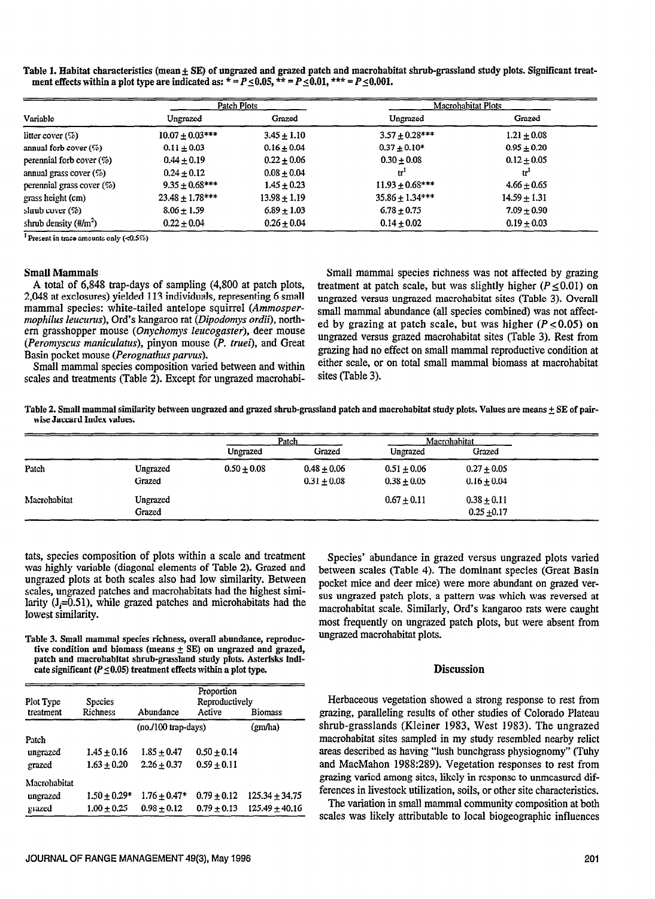Table 1. Habitat characteristics (mean  $\pm$  SE) of ungrazed and grazed patch and macrohabitat shrub-grassland study plots. Significant treatment effects within a plot type are indicated as:  $* = P \le 0.05$ ,  $* = P \le 0.01$ ,  $*** = P \le 0.001$ .

| Variable                               | Patch Plots          |                 | Macrohabitat Plots  |                 |
|----------------------------------------|----------------------|-----------------|---------------------|-----------------|
|                                        | Ungrazed             | Grazed          | Ungrazed            | Grazed          |
| litter cover $(%)$                     | $10.07 \pm 0.03$ *** | $3.45 + 1.10$   | $3.57 \pm 0.28$ *** | $1.21 \pm 0.08$ |
| annual forb cover $(\%)$               | $0.11 \pm 0.03$      | $0.16 + 0.04$   | $0.37 \pm 0.10^*$   | $0.95 \pm 0.20$ |
| perennial forb cover $(\%)$            | $0.44 + 0.19$        | $0.22 + 0.06$   | $0.30 \pm 0.08$     | $0.12 + 0.05$   |
| annual grass cover $(\%)$              | $0.24 \pm 0.12$      | $0.08 + 0.04$   | tr <sup>t</sup>     | tr              |
| perennial grass cover $(\%)$           | $9.35 \pm 0.68$ ***  | $1.45 \pm 0.23$ | $11.93 + 0.68***$   | $4.66 + 0.65$   |
| grass height (cm)                      | $23.48 \pm 1.78$ *** | $13.98 + 1.19$  | $35.86 + 1.34***$   | $14.59 + 1.31$  |
| shrub cover $(\%)$                     | $8.06 \pm 1.59$      | $6.89 \pm 1.03$ | $6.78 \pm 0.75$     | $7.09 \pm 0.90$ |
| shrub density $(\frac{\text{H}}{m^2})$ | $0.22 + 0.04$        | $0.26 + 0.04$   | $0.14 + 0.02$       | $0.19 + 0.03$   |

<sup>1</sup> Present in trace amounts only  $(\leq 0.5\%)$ 

2,048 at exclosures) yielded 113 individuals, representing 6 small mammal species: white-tailed antelope squirrel (Ammospermammal species: white-tailed antelope squirrel (Ammosper-<br>mophilus leucurus), Ord's kangaroo rat (Dipodomys ordii), north- sed by grazing at patch scale, but was higher em grasshopper mouse (Onychomys leucogasfer), deer mouse eth grasshopper mouse (*Onychomys teucoguster*), deer mouse ungrazed versus grazed macrohabitat sites (Table 3). Rest from *(Peromyscus maniculatus)*, pinyon mouse *(P. truei)*, and Great Rasin pocket mouse (Perognathus parvus). grazing had no effect on small mammal reproductive condition at grazing had no effect on small mammal reproductive condition at

Small Mammals Small mammal species richness was not affected by grazing A total of 6,848 trap-days of sampling (4,800 at patch plots, treatment at patch scale, but was slightly higher ( $P \le 0.01$ ) on ungrazed versus ungrazed macrohabitat sites (Table 3). Overall ed by grazing at patch scale, but was higher ( $P \le 0.05$ ) on Small mammal species composition varied between and within either scale, or on total small mammal biomass at macrohabitat also small mammal species composition varied between and within either scale, or on total small mamm

scales and treatments (Table 2). Except for ungrazed macrohabi-

Table 2. Small mammal similarity between ungrazed and grazed shrub-grassland patch and macrohabitat study plots. Values are means  $\pm$  SE of pairwise Jaccard Index values.

|              |          | Patch         |                 | Macrohabitat    |                 |  |
|--------------|----------|---------------|-----------------|-----------------|-----------------|--|
|              |          | Ungrazed      | Grazed          | Ungrazed        | Grazed          |  |
| Patch        | Ungrazed | $0.50 + 0.08$ | $0.48 + 0.06$   | $0.51 \pm 0.06$ | $0.27 + 0.05$   |  |
|              | Grazed   |               | $0.31 \pm 0.08$ | $0.38 + 0.05$   | $0.16 + 0.04$   |  |
| Macrohabitat | Ungrazed |               |                 | $0.67 + 0.11$   | $0.38 \pm 0.11$ |  |
|              | Grazed   |               |                 |                 | $0.25 + 0.17$   |  |

tats, species composition of plots within a scale and treatment was highly variable (diagonal elements of Table 2). Grazed and ungrazed plots at both scales also had low similarity. Between scales, ungrazed patches and macrohabitats had the highest similarity  $(J<sub>i</sub>=0.51)$ , while grazed patches and microhabitats had the lowest similarity.

Table 3. Small mammal species richness, overall abundance, reproductive condition and biomass (means  $\pm$  SE) on ungrazed and grazed, patch and macrohabitat shrub-grassland study plots. Asterisks indicate significant ( $P \leq 0.05$ ) treatment effects within a plot type.

| Plot Type    | <b>Species</b>  |                      | Proportion<br>Reproductively |                    |  |
|--------------|-----------------|----------------------|------------------------------|--------------------|--|
| treatment    | Richness        | Abundance            | Active                       | <b>Biomass</b>     |  |
|              |                 | $(noJ100$ trap-days) |                              | (gm/ha)            |  |
| Patch        |                 |                      |                              |                    |  |
| ungrazed     | $1.45 \pm 0.16$ | $1.85 + 0.47$        | $0.50 \pm 0.14$              |                    |  |
| grazed       | $1.63 + 0.20$   | $2.26 + 0.37$        | $0.59 + 0.11$                |                    |  |
| Macrohabitat |                 |                      |                              |                    |  |
| ungrazed     | $1.50 + 0.29*$  | $1.76 + 0.47*$       | $0.79 + 0.12$                | $125.34 \pm 34.75$ |  |
| grazed       | $1.00 \pm 0.25$ | $0.98 + 0.12$        | $0.79 + 0.13$                | $125.49 + 40.16$   |  |

Species' abundance in grazed versus ungrazed plots varied between scales (Table 4). The dominant species (Great Basin pocket mice and deer mice) were more abundant on grazed versus ungrazed patch plots, a pattern was which was reversed at macrohabitat scale. Similarly, Ord's kangaroo rats were caught most frequently on ungrazed patch plots, but were absent from ungrazed macrohabitat plots.

### **Discussion**

Herbaceous vegetation showed a strong response to rest from grazing, paralleling results of other studies of Colorado Plateau shrub-grasslands (Kleiner 1983, West 1983). The ungrazed macrohabitat sites sampled in my study resembled nearby relict areas described as having "lush bunchgrass physiognomy" (Tuhy and MacMahon 1988:289). Vegetation responses to rest from grazing varied among sites, likely in response to unmeasured differences in livestock utilization, soils, or other site characteristics.

The variation in small mammal community composition at both scales was likely attributable to local biogeographic influences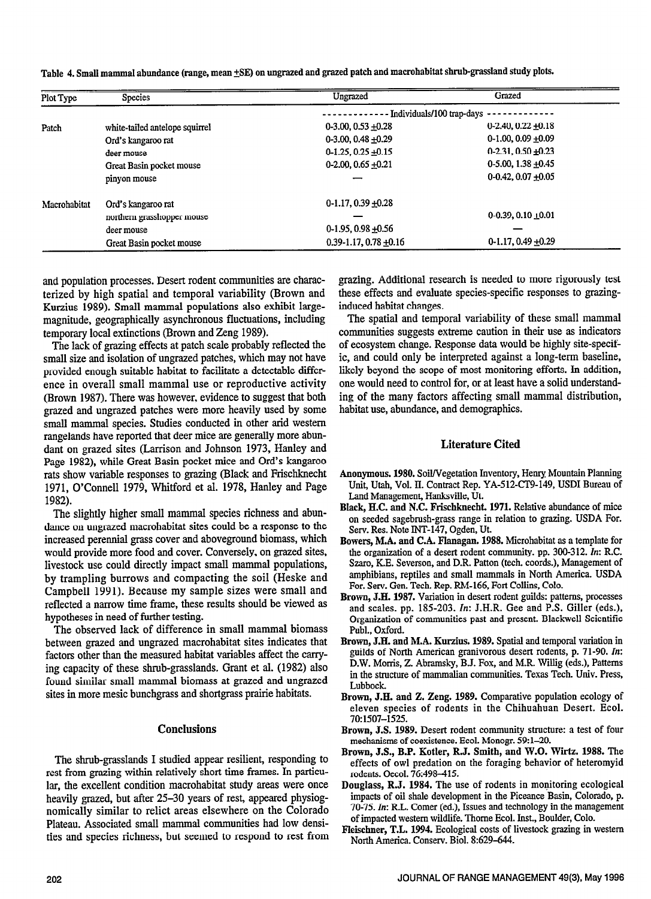Table 4. Small mammal abundance (range, mean +SE) on ungrazed and grazed patch and macrohabitat shrub-grassland study plots.

| Plot Type    | Species                        | Ungrazed                        | Grazed                  |  |
|--------------|--------------------------------|---------------------------------|-------------------------|--|
|              |                                | - Individuals/100 trap-days -   |                         |  |
| Patch        | white-tailed antelope squirrel | $0-3.00, 0.53 + 0.28$           | $0-2.40, 0.22 +0.18$    |  |
|              | Ord's kangaroo rat             | $0-3.00$ , $0.48 + 0.29$        | 0-1.00, 0.09 $\pm$ 0.09 |  |
|              | deer mouse                     | $0-1.25, 0.25 + 0.15$           | 0-2.31, 0.50 $\pm$ 0.23 |  |
|              | Great Basin pocket mouse       | $0-2.00$ , $0.65 +0.21$         | $0-5.00, 1.38 + 0.45$   |  |
|              | pinyon mouse                   |                                 | $0-0.42, 0.07 + 0.05$   |  |
| Macrohabitat | Ord's kangaroo rat             | $0-1.17, 0.39 + 0.28$           |                         |  |
|              | northern grasshopper mouse     |                                 | $0-0.39, 0.10 + 0.01$   |  |
|              | deer mouse                     | $0-1.95, 0.98 + 0.56$           |                         |  |
|              | Great Basin pocket mouse       | $0.39 - 1.17$ , $0.78 \pm 0.16$ | $0-1.17, 0.49 + 0.29$   |  |

and population processes. Desert rodent communities are characterized by high spatial and temporal variability (Brown and Kurzius 1989). Small mammal populations also exhibit largemagnitude, geographically asynchronous fluctuations, including temporary local extinctions (Brown and Zeng 1989).

The lack of grazing effects at patch scale probably reflected the small size and isolation of ungrazed patches, which may not have provided enough suitable habitat to facilitate a detectable difference in overall small mammal use or reproductive activity  $\sigma$  =  $\frac{1997}{100}$ . There was however,  $\sigma$   $\frac{1}{2}$  is suggested that both grown 1707), There was however, evidence to suggest that bear grazed and ungrazed pattnes were more neavily used by some rangelands have reported that deep microscopic microscopic microscopic microscopic microscopic microscopic more abunrangelands have reported that deer mice are generally more abundant on grazed sites (Larrison and Johnson 1973, Hanley and Page 1982), while Great Basin pocket mice and Ord's kangaroo rats show variable responses to grazing (Black and Frischknecht 1971, O'Connell 1979, Whitford et al. 1978, Hanley and Page 1982). The slightly higher small mass and abun-species richness and abun-species richness and abun-

The slightly higher small mammal species richness and abundance on ungrazed macrohabitat sites could be a response to the increased perennial grass cover and aboveground biomass, which would provide more food and cover. Conversely, on grazed sites, livestock use could directly impact small mammal populations, by trampling burrows and compacting the soil (Heske and Campbell 1991). Because my sample sizes were small and reflected a narrow time frame, these results should be viewed as hypotheses in need of further testing.

The observed lack of difference in small mammal biomass between grazed and ungrazed macrohabitat sites indicates that factors other than the measured habitat variables affect the carrying capacity of these shrub-grasslands. Grant et al. (1982) also found similar small mammal biomass at grazed and ungrazed sites in more mesic bunchgrass and shortgrass prairie habitats.

# **Conclusions**

The shrub-grasslands I studied appear resilient, responding to rest from grazing within relatively short time frames. In particular, the excellent condition macrohabitat study areas were once heavily grazed, but after 25-30 years of rest, appeared physiognomically similar to relict areas elsewhere on the Colorado Plateau. Associated small mammal communities had low densities and species richness, but seemed to respond to rest from grazing. Additional research is needed to more rigorously test these effects and evaluate species-specific responses to grazinginduced habitat changes.

The spatial and temporal variability of these small mammal communities suggests extreme caution in their use as indicators of ecosystem change. Response data would be highly site-specific, and could only be interpreted against a long-term baseline, likely beyond the scope of most monitoring efforts. In addition, one would need to control for, or at least have a solid understanding of the many factors affecting small mammal distribution, habitat use, abundance, and demographics.

# Literature Cited

- Anonymous. 1980. Soil/Vegetation Inventory, Henry Mountain Planning IUNYMUUS. 1960. SON VEGETATON HIVENTOLY, FIEHLY MOUNTAIN FIANNING Unit, Utah, Vol. II. Contract Rep. YA-512-CT9-149, USDI Bureau of Land Management, Hanksville, Ut.
- Black, H.C. and N.C. Frischknecht. 1971. Relative abundance of mice on seeded sagebrush-grass range in relation to grazing. USDA For. Serv. Res. Note INT-147, Ogden, Ut.
- Bowers, M.A. and C.A. Flanagan. 1988. Microhabitat as a template for the organization of a desert rodent community. pp. 300-312. In: R.C. Szaro, K.E. Severson, and D.R. Patton (tech. coords.), Management of amphibians, reptiles and small mammals in North America. USDA For. Serv. Gen. Tech. Rep. RM-166, Fort Collins, Colo.
- Brown, J.H. 1987. Variation in desert rodent guilds: patterns, processes and scales. pp. 185-203. In: J.H.R. Gee and P.S. Giller (eds.), Organization of communities past and present. Blackwell Scientific Publ., Oxford.
- Brown, J.H. and M.A. Kurzius. 1989. Spatial and temporal variation in guilds of North American granivorous desert rodents, p. 71-90. In: D.W. Morris, Z. Abramsky, B.J. Fox, and M.R. Willig (eds.), Patterns in the structure of mammalian communities. Texas Tech. Univ. Press, Lubbock.
- Brown, J.H. and Z. Zeng. 1989. Comparative population ecology of eleven species of rodents in the Chihuahuan Desert. Ecol. 70:1507-1525.
- Brown, J.S. 1989. Desert rodent community structure: a test of four mechanisms of coexistence. Ecol. Monogr. 59:1-20.
- Brown, J.S., B.P. Kotler, R.J. Smith, and W.O. Wirtz. 1988. The  $\epsilon$ <sup>r</sup>ote of oul produces Douglass, R.J. 1984. The use of rodes in monitoring experience in monitoring experience rodents. Oecol. 76:498-415.<br>Douglass, R.J. 1984. The use of rodents in monitoring ecological
- impacts of oil shale development in the Piceance Basin, Colorado, p. 70-75. In: R.L. Comer (ed.), Issues and technology in the management of impacted western wildlife. Thorne Ecol. Inst., Boulder, Colo.
- Fleischner, T.L. 1994. Ecological costs of livestock grazing in western North America. Conserv. Biol. 8:629-644.